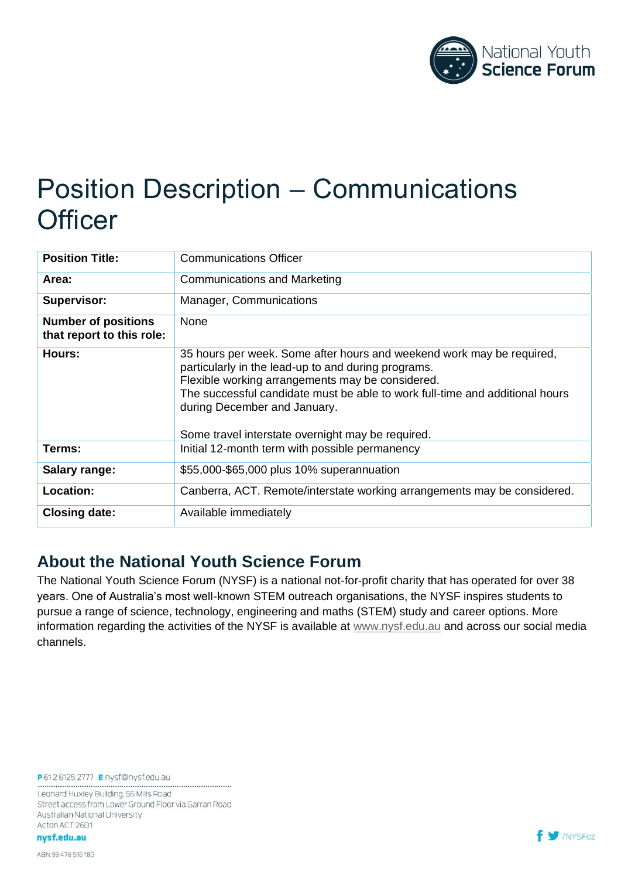

# Position Description – Communications **Officer**

| <b>Position Title:</b>                                  | <b>Communications Officer</b>                                                                                                                                                                                                                                                                                                                         |
|---------------------------------------------------------|-------------------------------------------------------------------------------------------------------------------------------------------------------------------------------------------------------------------------------------------------------------------------------------------------------------------------------------------------------|
| Area:                                                   | <b>Communications and Marketing</b>                                                                                                                                                                                                                                                                                                                   |
| Supervisor:                                             | Manager, Communications                                                                                                                                                                                                                                                                                                                               |
| <b>Number of positions</b><br>that report to this role: | None                                                                                                                                                                                                                                                                                                                                                  |
| Hours:                                                  | 35 hours per week. Some after hours and weekend work may be required,<br>particularly in the lead-up to and during programs.<br>Flexible working arrangements may be considered.<br>The successful candidate must be able to work full-time and additional hours<br>during December and January.<br>Some travel interstate overnight may be required. |
| Terms:                                                  | Initial 12-month term with possible permanency                                                                                                                                                                                                                                                                                                        |
| <b>Salary range:</b>                                    | \$55,000-\$65,000 plus 10% superannuation                                                                                                                                                                                                                                                                                                             |
| <b>Location:</b>                                        | Canberra, ACT. Remote/interstate working arrangements may be considered.                                                                                                                                                                                                                                                                              |
| <b>Closing date:</b>                                    | Available immediately                                                                                                                                                                                                                                                                                                                                 |

### **About the National Youth Science Forum**

The National Youth Science Forum (NYSF) is a national not-for-profit charity that has operated for over 38 years. One of Australia's most well-known STEM outreach organisations, the NYSF inspires students to pursue a range of science, technology, engineering and maths (STEM) study and career options. More information regarding the activities of the NYSF is available at [www.nysf.edu.au](http://www.nysf.edu.au/) and across our social media channels.

P61261252777 Enysf@nysf.edu.au 

Leonard Huxley Building, 56 Mills Road Street access from Lower Ground Floor via Garran Road Australian National University Acton ACT 2601

nysf.edu.au

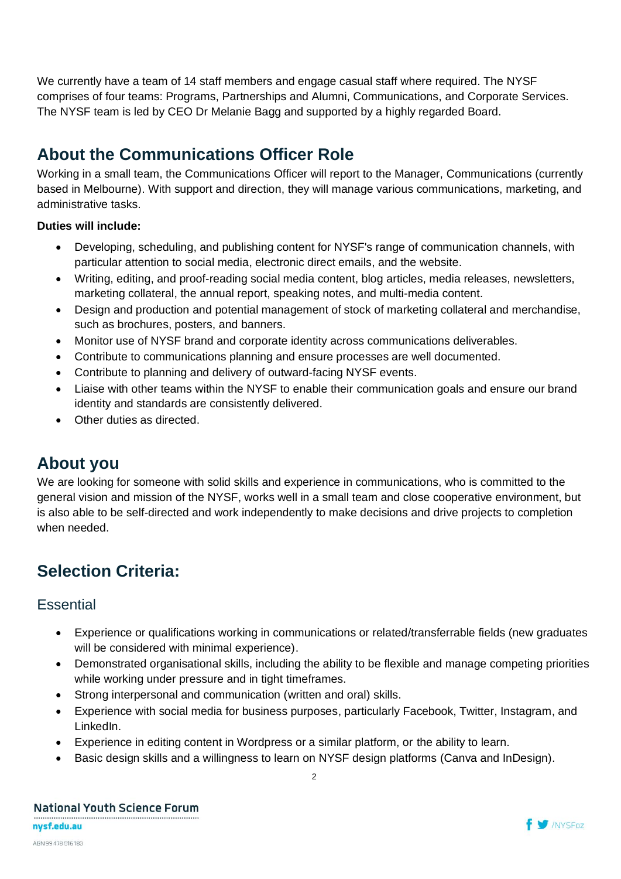We currently have a team of 14 staff members and engage casual staff where required. The NYSF comprises of four teams: Programs, Partnerships and Alumni, Communications, and Corporate Services. The NYSF team is led by CEO Dr Melanie Bagg and supported by a highly regarded Board.

## **About the Communications Officer Role**

Working in a small team, the Communications Officer will report to the Manager, Communications (currently based in Melbourne). With support and direction, they will manage various communications, marketing, and administrative tasks.

#### **Duties will include:**

- Developing, scheduling, and publishing content for NYSF's range of communication channels, with particular attention to social media, electronic direct emails, and the website.
- Writing, editing, and proof-reading social media content, blog articles, media releases, newsletters, marketing collateral, the annual report, speaking notes, and multi-media content.
- Design and production and potential management of stock of marketing collateral and merchandise, such as brochures, posters, and banners.
- Monitor use of NYSF brand and corporate identity across communications deliverables.
- Contribute to communications planning and ensure processes are well documented.
- Contribute to planning and delivery of outward-facing NYSF events.
- Liaise with other teams within the NYSF to enable their communication goals and ensure our brand identity and standards are consistently delivered.
- Other duties as directed.

### **About you**

We are looking for someone with solid skills and experience in communications, who is committed to the general vision and mission of the NYSF, works well in a small team and close cooperative environment, but is also able to be self-directed and work independently to make decisions and drive projects to completion when needed.

## **Selection Criteria:**

#### **Essential**

- Experience or qualifications working in communications or related/transferrable fields (new graduates will be considered with minimal experience).
- Demonstrated organisational skills, including the ability to be flexible and manage competing priorities while working under pressure and in tight timeframes.
- Strong interpersonal and communication (written and oral) skills.
- Experience with social media for business purposes, particularly Facebook, Twitter, Instagram, and LinkedIn.
- Experience in editing content in Wordpress or a similar platform, or the ability to learn.
- Basic design skills and a willingness to learn on NYSF design platforms (Canva and InDesign).

2